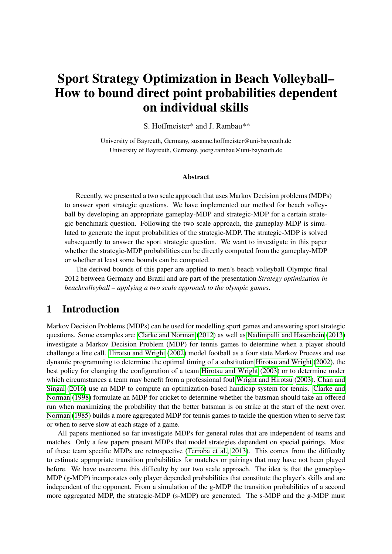# Sport Strategy Optimization in Beach Volleyball– How to bound direct point probabilities dependent on individual skills

S. Hoffmeister\* and J. Rambau\*\*

University of Bayreuth, Germany, susanne.hoffmeister@uni-bayreuth.de University of Bayreuth, Germany, joerg.rambau@uni-bayreuth.de

### Abstract

Recently, we presented a two scale approach that uses Markov Decision problems (MDPs) to answer sport strategic questions. We have implemented our method for beach volleyball by developing an appropriate gameplay-MDP and strategic-MDP for a certain strategic benchmark question. Following the two scale approach, the gameplay-MDP is simulated to generate the input probabilities of the strategic-MDP. The strategic-MDP is solved subsequently to answer the sport strategic question. We want to investigate in this paper whether the strategic-MDP probabilities can be directly computed from the gameplay-MDP or whether at least some bounds can be computed.

The derived bounds of this paper are applied to men's beach volleyball Olympic final 2012 between Germany and Brazil and are part of the presentation *Strategy optimization in beachvolleyball – applying a two scale approach to the olympic games*.

# 1 Introduction

Markov Decision Problems (MDPs) can be used for modelling sport games and answering sport strategic questions. Some examples are: [Clarke and Norman](#page-9-0) [\(2012\)](#page-9-0) as well as [Nadimpalli and Hasenbein](#page-9-1) [\(2013\)](#page-9-1) investigate a Markov Decision Problem (MDP) for tennis games to determine when a player should challenge a line call. [Hirotsu and Wright](#page-9-2) [\(2002\)](#page-9-2) model football as a four state Markov Process and use dynamic programming to determine the optimal timing of a substitution [Hirotsu and Wright](#page-9-2) [\(2002\)](#page-9-2), the best policy for changing the configuration of a team [Hirotsu and Wright](#page-9-3) [\(2003\)](#page-9-3) or to determine under which circumstances a team may benefit from a professional foul [Wright and Hirotsu](#page-9-4) [\(2003\)](#page-9-4). [Chan and](#page-8-0) [Singal](#page-8-0) [\(2016\)](#page-8-0) use an MDP to compute an optimization-based handicap system for tennis. [Clarke and](#page-9-5) [Norman](#page-9-5) [\(1998\)](#page-9-5) formulate an MDP for cricket to determine whether the batsman should take an offered run when maximizing the probability that the better batsman is on strike at the start of the next over. [Norman](#page-9-6) [\(1985\)](#page-9-6) builds a more aggregated MDP for tennis games to tackle the question when to serve fast or when to serve slow at each stage of a game.

All papers mentioned so far investigate MDPs for general rules that are independent of teams and matches. Only a few papers present MDPs that model strategies dependent on special pairings. Most of these team specific MDPs are retrospective [\(Terroba et al., 2013\)](#page-9-7). This comes from the difficulty to estimate appropriate transition probabilities for matches or pairings that may have not been played before. We have overcome this difficulty by our two scale approach. The idea is that the gameplay-MDP (g-MDP) incorporates only player depended probabilities that constitute the player's skills and are independent of the opponent. From a simulation of the g-MDP the transition probabilities of a second more aggregated MDP, the strategic-MDP (s-MDP) are generated. The s-MDP and the g-MDP must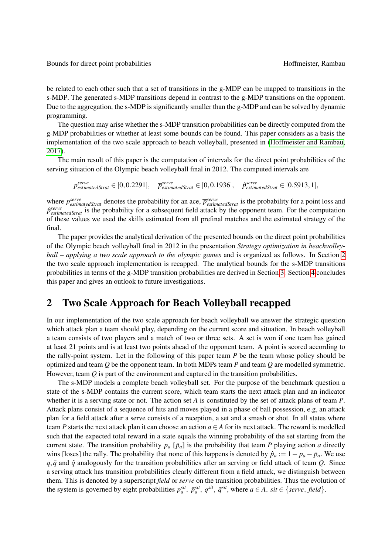be related to each other such that a set of transitions in the g-MDP can be mapped to transitions in the s-MDP. The generated s-MDP transitions depend in contrast to the g-MDP transitions on the opponent. Due to the aggregation, the s-MDP is significantly smaller than the g-MDP and can be solved by dynamic programming.

The question may arise whether the s-MDP transition probabilities can be directly computed from the g-MDP probabilities or whether at least some bounds can be found. This paper considers as a basis the implementation of the two scale approach to beach volleyball, presented in [\(Hoffmeister and Rambau,](#page-9-8) [2017\)](#page-9-8).

The main result of this paper is the computation of intervals for the direct point probabilities of the serving situation of the Olympic beach volleyball final in 2012. The computed intervals are

 $p_{estimatedStrat}^{serve} \in [0, 0.2291], \quad \overline{p}_{estimatedStrat}^{serve} \in [0, 0.1936], \quad \hat{p}_{estimatedStrat}^{serve} \in [0.5913, 1],$ 

where  $p_{estimatedStrat}^{serve}$  denotes the probability for an ace,  $\overline{p}_{estimatedStrat}^{serve}$  is the probability for a point loss and  $\hat{p}^{serve}_{estimatedStrat}$  is the probability for a subsequent field attack by the opponent team. For the computation of these values we used the skills estimated from all prefinal matches and the estimated strategy of the final.

The paper provides the analytical derivation of the presented bounds on the direct point probabilities of the Olympic beach volleyball final in 2012 in the presentation *Strategy optimization in beachvolleyball – applying a two scale approach to the olympic games* and is organized as follows. In Section [2](#page-1-0) the two scale approach implementation is recapped. The analytical bounds for the s-MDP transitions probabilities in terms of the g-MDP transition probabilities are derived in Section [3.](#page-4-0) Section [4](#page-8-1) concludes this paper and gives an outlook to future investigations.

# <span id="page-1-0"></span>2 Two Scale Approach for Beach Volleyball recapped

In our implementation of the two scale approach for beach volleyball we answer the strategic question which attack plan a team should play, depending on the current score and situation. In beach volleyball a team consists of two players and a match of two or three sets. A set is won if one team has gained at least 21 points and is at least two points ahead of the opponent team. A point is scored according to the rally-point system. Let in the following of this paper team *P* be the team whose policy should be optimized and team *Q* be the opponent team. In both MDPs team *P* and team *Q* are modelled symmetric. However, team *Q* is part of the environment and captured in the transition probabilities.

The s-MDP models a complete beach volleyball set. For the purpose of the benchmark question a state of the s-MDP contains the current score, which team starts the next attack plan and an indicator whether it is a serving state or not. The action set *A* is constituted by the set of attack plans of team *P*. Attack plans consist of a sequence of hits and moves played in a phase of ball possession, e.g, an attack plan for a field attack after a serve consists of a reception, a set and a smash or shot. In all states where team *P* starts the next attack plan it can choose an action  $a \in A$  for its next attack. The reward is modelled such that the expected total reward in a state equals the winning probability of the set starting from the current state. The transition probability  $p_a$  [ $\bar{p}_a$ ] is the probability that team *P* playing action *a* directly wins [loses] the rally. The probability that none of this happens is denoted by  $\hat{p}_a := 1 - p_a - \bar{p}_a$ . We use  $q, \bar{q}$  and  $\hat{q}$  analogously for the transition probabilities after an serving or field attack of team *Q*. Since a serving attack has transition probabilities clearly different from a field attack, we distinguish between them. This is denoted by a superscript *field* or *serve* on the transition probabilities. Thus the evolution of the system is governed by eight probabilities  $p_a^{sit}$ ,  $\bar{p}_a^{sit}$ ,  $q^{sit}$ ,  $\bar{q}^{sit}$ , where  $a \in A$ ,  $sit \in \{serve, field\}$ .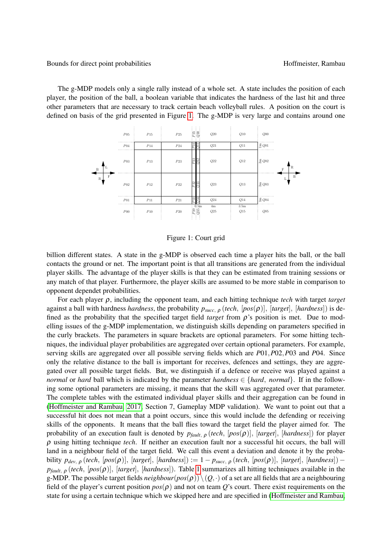The g-MDP models only a single rally instead of a whole set. A state includes the position of each player, the position of the ball, a boolean variable that indicates the hardness of the last hit and three other parameters that are necessary to track certain beach volleyball rules. A position on the court is defined on basis of the grid presented in Figure [1.](#page-2-0) The g-MDP is very large and contains around one

<span id="page-2-0"></span>

Figure 1: Court grid

billion different states. A state in the g-MDP is observed each time a player hits the ball, or the ball contacts the ground or net. The important point is that all transitions are generated from the individual player skills. The advantage of the player skills is that they can be estimated from training sessions or any match of that player. Furthermore, the player skills are assumed to be more stable in comparison to opponent dependet probabilities.

For each player ρ, including the opponent team, and each hitting technique *tech* with target *target* against a ball with hardness *hardness*, the probability *psucc*, <sup>ρ</sup> (*tech*, [*pos*(ρ)], [*target*], [*hardness*]) is defined as the probability that the specified target field *target* from  $\rho$ 's position is met. Due to modelling issues of the g-MDP implementation, we distinguish skills depending on parameters specified in the curly brackets. The parameters in square brackets are optional parameters. For some hitting techniques, the individual player probabilities are aggregated over certain optional parameters. For example, serving skills are aggregated over all possible serving fields which are *P*01,*P*02,*P*03 and *P*04. Since only the relative distance to the ball is important for receives, defences and settings, they are aggregated over all possible target fields. But, we distinguish if a defence or receive was played against a *normal* or *hard* ball which is indicated by the parameter *hardness*  $\in$  {*hard, normal*}. If in the following some optional parameters are missing, it means that the skill was aggregated over that parameter. The complete tables with the estimated individual player skills and their aggregation can be found in [\(Hoffmeister and Rambau, 2017,](#page-9-8) Section 7, Gameplay MDP validation). We want to point out that a successful hit does not mean that a point occurs, since this would include the defending or receiving skills of the opponents. It means that the ball flies toward the target field the player aimed for. The probability of an execution fault is denoted by *pfault*, <sup>ρ</sup> (*tech*, [*pos*(ρ)], [*target*], [*hardness*]) for player ρ using hitting technique *tech*. If neither an execution fault nor a successful hit occurs, the ball will land in a neighbour field of the target field. We call this event a deviation and denote it by the probability  $p_{dev, \rho}$  (*tech*, [pos( $\rho$ )], [*target*], [*hardness*]) := 1 −  $p_{succ, \rho}$  (*tech*, [pos( $\rho$ )], [*target*], [*hardness*]) − *pfault*, <sup>ρ</sup> (*tech*, [*pos*(ρ)], [*target*], [*hardness*]). Table [1](#page-3-0) summarizes all hitting techniques available in the g-MDP. The possible target fields *neighbour*(*pos*(ρ))\(*Q*,·) of a set are all fields that are a neighbouring field of the player's current position  $pos(\rho)$  and not on team *Q*'s court. There exist requirements on the state for using a certain technique which we skipped here and are specified in [\(Hoffmeister and Rambau,](#page-9-8)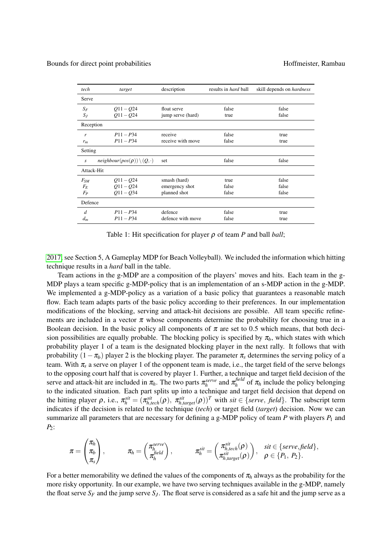<span id="page-3-0"></span>

| tech       | target                                     | description       | results in <i>hard</i> ball | skill depends on <i>hardness</i> |
|------------|--------------------------------------------|-------------------|-----------------------------|----------------------------------|
| Serve      |                                            |                   |                             |                                  |
| $S_F$      | $Q11 - Q24$                                | float serve       | false                       | false                            |
| $S_J$      | $Q11 - Q24$                                | jump serve (hard) | true                        | false                            |
| Reception  |                                            |                   |                             |                                  |
| r          | $P11 - P34$                                | receive           | false                       | true                             |
| $r_m$      | $P11 - P34$                                | receive with move | false                       | true                             |
| Setting    |                                            |                   |                             |                                  |
| S          | $neighbor(pos(\rho)) \setminus (Q, \cdot)$ | set               | false                       | false                            |
| Attack-Hit |                                            |                   |                             |                                  |
| $F_{SM}$   | $Q11 - Q24$                                | smash (hard)      | true                        | false                            |
| $F_E$      | $Q11 - Q24$                                | emergency shot    | false                       | false                            |
| $F_P$      | $Q11 - Q34$                                | planned shot      | false                       | false                            |
| Defence    |                                            |                   |                             |                                  |
| d          | $P11 - P34$                                | defence           | false                       | true                             |
| $d_m$      | $P11 - P34$                                | defence with move | false                       | true                             |

Table 1: Hit specification for player ρ of team *P* and ball *ball*;

[2017,](#page-9-8) see Section 5, A Gameplay MDP for Beach Volleyball). We included the information which hitting technique results in a *hard* ball in the table.

Team actions in the g-MDP are a composition of the players' moves and hits. Each team in the g-MDP plays a team specific g-MDP-policy that is an implementation of an s-MDP action in the g-MDP. We implemented a g-MDP-policy as a variation of a basic policy that guarantees a reasonable match flow. Each team adapts parts of the basic policy according to their preferences. In our implementation modifications of the blocking, serving and attack-hit decisions are possible. All team specific refinements are included in a vector  $\pi$  whose components determine the probability for choosing true in a Boolean decision. In the basic policy all components of  $\pi$  are set to 0.5 which means, that both decision possibilities are equally probable. The blocking policy is specified by  $\pi_b$ , which states with which probability player 1 of a team is the designated blocking player in the next rally. It follows that with probability  $(1 - \pi_b)$  player 2 is the blocking player. The parameter  $\pi_s$  determines the serving policy of a team. With  $\pi_s$  a serve on player 1 of the opponent team is made, i.e., the target field of the serve belongs to the opposing court half that is covered by player 1. Further, a technique and target field decision of the serve and attack-hit are included in  $\pi_h$ . The two parts  $\pi_h^{serve}$  and  $\pi_h^{field}$  $\int_{h}$ <sup>*lieu*</sup> of  $\pi_h$  include the policy belonging to the indicated situation. Each part splits up into a technique and target field decision that depend on the hitting player  $\rho$ , i.e.,  $\pi_h^{sit} = (\pi_{h,tech}^{sit}(\rho), \pi_{h, target}^{sit}(\rho))^T$  with  $sit \in \{serve, field\}$ . The subscript term indicates if the decision is related to the technique (*tech*) or target field (*target*) decision. Now we can summarize all parameters that are necessary for defining a g-MDP policy of team  $P$  with players  $P_1$  and *P*2:

$$
\pi = \begin{pmatrix} \pi_h \\ \pi_b \\ \pi_s \end{pmatrix}, \qquad \pi_h = \begin{pmatrix} \pi_h^{serve} \\ \pi_h^{field} \end{pmatrix}, \qquad \pi_h^{sit} = \begin{pmatrix} \pi_{h,tech}^{sit}(\rho) \\ \pi_{h, target}^{sit}(\rho) \end{pmatrix}, \quad sit \in \{serve, field\},
$$

For a better memorability we defined the values of the components of  $\pi_h$  always as the probability for the more risky opportunity. In our example, we have two serving techniques available in the g-MDP, namely the float serve  $S_F$  and the jump serve  $S_I$ . The float serve is considered as a safe hit and the jump serve as a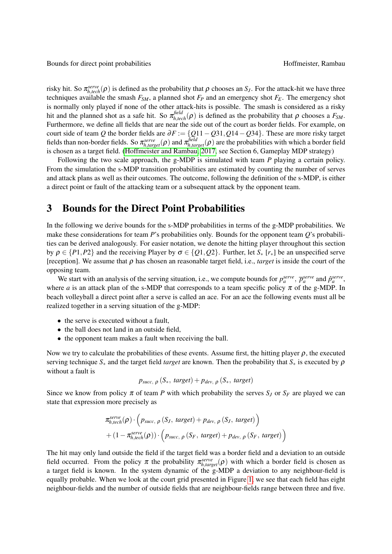risky hit. So  $\pi_{h,tech}^{serve}(\rho)$  is defined as the probability that  $\rho$  chooses an *S<sub>J</sub>*. For the attack-hit we have three techniques available the smash  $F_{SM}$ , a planned shot  $F_P$  and an emergency shot  $F_E$ . The emergency shot is normally only played if none of the other attack-hits is possible. The smash is considered as a risky hit and the planned shot as a safe hit. So  $\pi^{field}_{h,tech}(\rho)$  is defined as the probability that  $\rho$  chooses a  $F_{SM}$ . Furthermore, we define all fields that are near the side out of the court as border fields. For example, on court side of team *Q* the border fields are ∂*F* := {*Q*11−*Q*31,*Q*14−*Q*34}. These are more risky target fields than non-border fields. So  $\pi_{h, target}^{serve}(\rho)$  and  $\pi_{h, target}^{field}(\rho)$  are the probabilities with which a border field is chosen as a target field. [\(Hoffmeister and Rambau, 2017,](#page-9-8) see Section 6, Gameplay MDP strategy)

Following the two scale approach, the g-MDP is simulated with team *P* playing a certain policy. From the simulation the s-MDP transition probabilities are estimated by counting the number of serves and attack plans as well as their outcomes. The outcome, following the definition of the s-MDP, is either a direct point or fault of the attacking team or a subsequent attack by the opponent team.

# <span id="page-4-0"></span>3 Bounds for the Direct Point Probabilities

In the following we derive bounds for the s-MDP probabilities in terms of the g-MDP probabilities. We make these considerations for team *P*'s probabilities only. Bounds for the opponent team *Q*'s probabilities can be derived analogously. For easier notation, we denote the hitting player throughout this section by ρ ∈ {*P*1,*P*2} and the receiving Player by σ ∈ {*Q*1,*Q*2}. Further, let *S*<sup>∗</sup> [*r*∗] be an unspecified serve [reception]. We assume that  $\rho$  has chosen an reasonable target field, i.e., *target* is inside the court of the opposing team.

We start with an analysis of the serving situation, i.e., we compute bounds for  $p_a^{serve}$ ,  $\bar{p}_a^{serve}$  and  $\hat{p}_a^{serve}$ , where *a* is an attack plan of the s-MDP that corresponds to a team specific policy  $\pi$  of the g-MDP. In beach volleyball a direct point after a serve is called an ace. For an ace the following events must all be realized together in a serving situation of the g-MDP:

- the serve is executed without a fault,
- the ball does not land in an outside field,
- the opponent team makes a fault when receiving the ball.

Now we try to calculate the probabilities of these events. Assume first, the hitting player  $\rho$ , the executed serving technique  $S_*$  and the target field *target* are known. Then the probability that  $S_*$  is executed by  $\rho$ without a fault is

$$
p_{succ, \rho} (S_*, target) + p_{dev, \rho} (S_*, target)
$$

Since we know from policy  $\pi$  of team *P* with which probability the serves  $S_J$  or  $S_F$  are played we can state that expression more precisely as

$$
\pi_{h,tech}^{serve}(\rho) \cdot \left(p_{succ, \rho} (S_J, target) + p_{dev, \rho} (S_J, target)\right) + (1 - \pi_{h,tech}^{serve}(\rho)) \cdot \left(p_{succ, \rho} (S_F, target) + p_{dev, \rho} (S_F, target)\right)
$$

The hit may only land outside the field if the target field was a border field and a deviation to an outside field occurred. From the policy  $\pi$  the probability  $\pi_{h, target}^{serve}(\rho)$  with which a border field is chosen as a target field is known. In the system dynamic of the g-MDP a deviation to any neighbour-field is equally probable. When we look at the court grid presented in Figure [1,](#page-2-0) we see that each field has eight neighbour-fields and the number of outside fields that are neighbour-fields range between three and five.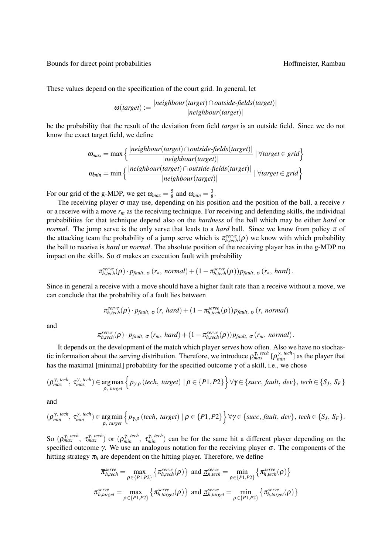These values depend on the specification of the court grid. In general, let

$$
\omega(target) := \frac{|neighbor(target) \cap outside-fields(target)|}{|neighbor(target)|}
$$

be the probability that the result of the deviation from field *target* is an outside field. Since we do not know the exact target field, we define

$$
\omega_{max} = \max \left\{ \frac{|neighbor(target) \cap outside-fields(target)|}{|neighbor(target)|} \mid \forall target \in grid \right\}
$$

$$
\omega_{min} = \min \left\{ \frac{|neighbor(target) \cap outside-fields(target)|}{|neighbor(target)|} \mid \forall target \in grid \right\}
$$

For our grid of the g-MDP, we get  $\omega_{max} = \frac{5}{8}$  $\frac{5}{8}$  and  $\omega_{min} = \frac{3}{8}$  $\frac{3}{8}$ .

The receiving player σ may use, depending on his position and the position of the ball, a receive *r* or a receive with a move *r<sup>m</sup>* as the receiving technique. For receiving and defending skills, the individual probabilities for that technique depend also on the *hardness* of the ball which may be either *hard* or *normal*. The jump serve is the only serve that leads to a *hard* ball. Since we know from policy  $\pi$  of the attacking team the probability of a jump serve which is  $\pi_{h,tech}^{serve}(\rho)$  we know with which probability the ball to receive is *hard* or *normal*. The absolute position of the receiving player has in the g-MDP no impact on the skills. So  $\sigma$  makes an execution fault with probability

$$
\pi_{h,tech}^{serve}(\rho) \cdot p_{fault, \sigma}(r_*, normal) + (1 - \pi_{h,tech}^{serve}(\rho)) p_{fault, \sigma}(r_*, hard).
$$

Since in general a receive with a move should have a higher fault rate than a receive without a move, we can conclude that the probability of a fault lies between

$$
\pi^{serve}_{h,tech}(\rho) \cdot p_{fault, \sigma}(r, hard) + (1 - \pi^{serve}_{h,tech}(\rho)) p_{fault, \sigma}(r, normal)
$$

and

$$
\pi_{h,tech}^{serve}(\rho) \cdot p_{fault, \sigma}(r_m, hard) + (1 - \pi_{h,tech}^{serve}(\rho)) p_{fault, \sigma}(r_m, normal).
$$

It depends on the development of the match which player serves how often. Also we have no stochastic information about the serving distribution. Therefore, we introduce  $\rho_{max}^{\gamma, \text{ tech}}[\rho_{min}^{\gamma, \text{ tech}}]$  as the player that has the maximal [minimal] probability for the specified outcome  $\gamma$  of a skill, i.e., we chose

$$
(\rho_{max}^{\gamma, \text{ tech}}, \tau_{max}^{\gamma, \text{tech}}) \in \underset{\rho, \text{ target}}{\arg \max} \left\{ p_{\gamma, \rho} \left(\text{tech}, \text{ target} \right) \mid \rho \in \{P1, P2\} \right\} \forall \gamma \in \{succ, \text{ fault}, \text{ dev}\}, \text{tech} \in \{S_J, S_F\}
$$

and

$$
(\rho_{\min}^{\gamma, \text{ tech}}, \tau_{\min}^{\gamma, \text{tech}}) \in \underset{\rho, \text{ target}}{\arg \min} \Big\{ p_{\gamma, \rho} \, (\text{tech}, \text{ target}) \mid \rho \in \{P1, P2\} \Big\} \, \forall \gamma \in \{ \text{succ}, \text{ fault}, \text{ dev} \}, \, \text{tech} \in \{S_J, \, S_F \}.
$$

So  $(\rho_{max}^{\gamma, \text{tech}}, \tau_{max}^{\gamma, \text{tech}})$  or  $(\rho_{min}^{\gamma, \text{tech}}, \tau_{min}^{\gamma, \text{tech}})$  can be for the same hit a different player depending on the specified outcome  $\gamma$ . We use an analogous notation for the receiving player  $\sigma$ . The components of the hitting strategy  $\pi_h$  are dependent on the hitting player. Therefore, we define

$$
\overline{\pi}_{h,tech}^{serve} = \max_{\rho \in \{P1, P2\}} \left\{ \pi_{h,tech}^{serve}(\rho) \right\} \text{ and } \underline{\pi}_{h,tech}^{serve} = \min_{\rho \in \{P1, P2\}} \left\{ \pi_{h,tech}^{serve}(\rho) \right\}
$$
\n
$$
\overline{\pi}_{h, target}^{serve} = \max_{\rho \in \{P1, P2\}} \left\{ \pi_{h, target}^{serve}(\rho) \right\} \text{ and } \underline{\pi}_{h, target}^{serve} = \min_{\rho \in \{P1, P2\}} \left\{ \pi_{h, target}^{serve}(\rho) \right\}
$$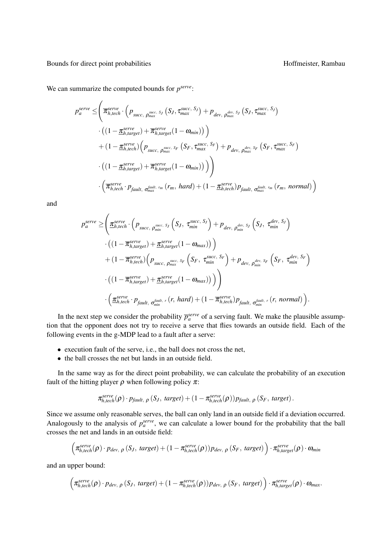We can summarize the computed bounds for  $p^{serve}$ :

$$
p_{a}^{serve} \leq \left(\overline{\pi}_{h,tech}^{serve} \cdot \left(p_{succ, \rho_{max}^{succ, S_{J}}}(S_{J}, \tau_{max}^{succ, S_{J}}) + p_{dev, \rho_{max}^{dev, S_{J}}}(S_{J}, \tau_{max}^{succ, S_{J}})\right)\n\cdot \left((1 - \underline{\pi}_{h, target}^{serve}) + \overline{\pi}_{h, target}^{serve}(1 - \omega_{min})\right)\n+ (1 - \underline{\pi}_{h, test}^{serve})\left(p_{succ, \rho_{max}^{succ, S_{F}}}(S_{F}, \tau_{max}^{succ, S_{F}}) + p_{dev, \rho_{max}^{dev, S_{F}}}(S_{F}, \tau_{max}^{succ, S_{F}})\right)\n\cdot \left((1 - \underline{\pi}_{h, target}^{serve}) + \overline{\pi}_{h, target}^{serve}(1 - \omega_{min})\right)\right)\n\cdot \left(\overline{\pi}_{h, tech}^{serve} \cdot p_{fault, \sigma_{max}^{fault, rm}}(r_{m}, hard) + (1 - \underline{\pi}_{h,tech}^{serve})p_{fault, \sigma_{max}^{fault, rm}}(r_{m}, normal)\right)
$$

and

$$
p_{a}^{serve} \geq \left( \frac{\pi_{h,tech}^{serve} \cdot \left( p_{succ, \rho_{min}} s_{J} \left( S_{J}, \tau_{min}^{succ, S_{J}} \right) + p_{dev, \rho_{min}^{dev, S_{J}} \left( S_{J}, \tau_{min}^{dev, S_{J}} \right) \right) \cdot \left( \left( 1 - \overline{\pi}_{h, target}^{serve} \right) + \underline{\pi}_{h, target}^{serve} \left( 1 - \omega_{max} \right) \right) \right) + \left( 1 - \overline{\pi}_{h, tech}^{serve} \right) \left( p_{succ, \rho_{max}^{succ, S_{F}}} \left( S_{F}, \tau_{min}^{succ, S_{F}} \right) + p_{dev, \rho_{min}^{dev, S_{F}}} \left( S_{F}, \tau_{min}^{dev, S_{F}} \right) \cdot \left( \left( 1 - \overline{\pi}_{h, target}^{serve} \right) + \underline{\pi}_{h, target}^{serve} \left( 1 - \omega_{max} \right) \right) \right) \right) + \left( \frac{\pi_{h, test}^{serve} \cdot p_{fault, \sigma_{min}^{fault, r}} \left( r, hard \right) + \left( 1 - \overline{\pi}_{h,tech}^{serve} \right) p_{fault, \sigma_{min}^{fault, r}} \left( r, normal \right) \right).
$$

In the next step we consider the probability  $\bar{p}_a^{serve}$  of a serving fault. We make the plausible assumption that the opponent does not try to receive a serve that flies towards an outside field. Each of the following events in the g-MDP lead to a fault after a serve:

- execution fault of the serve, i.e., the ball does not cross the net,
- the ball crosses the net but lands in an outside field.

In the same way as for the direct point probability, we can calculate the probability of an execution fault of the hitting player  $\rho$  when following policy  $\pi$ :

$$
\pi_{h,tech}^{serve}(\rho) \cdot p_{fault, \rho} (S_J, target) + (1 - \pi_{h,tech}^{serve}(\rho)) p_{fault, \rho} (S_F, target).
$$

Since we assume only reasonable serves, the ball can only land in an outside field if a deviation occurred. Analogously to the analysis of  $p_a^{serve}$ , we can calculate a lower bound for the probability that the ball crosses the net and lands in an outside field:

$$
\left(\pi_{h,tech}^{serve}(\rho) \cdot p_{dev, \rho} \left(S_J, \, target\right) + (1 - \pi_{h,tech}^{serve}(\rho)) p_{dev, \rho} \left(S_F, \, target\right)\right) \cdot \pi_{h, target}^{serve}(\rho) \cdot \omega_{min}
$$

and an upper bound:

$$
\left(\pi_{h,tech}^{serve}(\rho) \cdot p_{dev, \rho} (S_J, \, target) + (1 - \pi_{h,tech}^{serve}(\rho)) p_{dev, \rho} (S_F, \, target) \right) \cdot \pi_{h, target}^{serve}(\rho) \cdot \omega_{max}.
$$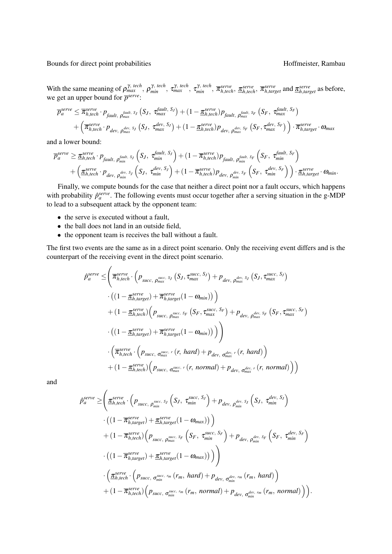With the same meaning of  $\rho_{max}^{\gamma, \text{tech}}, \rho_{min}^{\gamma, \text{tech}}, \tau_{max}^{\gamma, \text{tech}}, \tau_{min}^{\gamma, \text{ tech}}, \overline{\pi}_{h, \text{tech}}^{\text{serve}}, \overline{\pi}_{h, \text{tech}}^{\text{serve}}, \overline{\pi}_{h, \text{target}}^{\text{serve}}$  and  $\underline{\pi}_{h, \text{target}}^{\text{serve}}$  as before, we get an upper bound for  $\overline{p}^{serve}$ :

$$
\overline{P}_{a}^{serve} \leq \overline{\pi}_{h,tech}^{serve} \cdot p_{fault, \rho_{max}^{fault, S_J}}(S_J, \tau_{max}^{fault, S_J}) + (1 - \underline{\pi}_{h,tech}^{serve}) p_{fault, \rho_{max}^{fault, S_F}}(S_F, \tau_{max}^{fault, S_F}) + (\overline{\pi}_{h,tech}^{serve} \cdot p_{dev, \rho_{max}^{dev, S_J}}(S_J, \tau_{max}^{dev, S_J}) + (1 - \underline{\pi}_{h,tech}^{serve}) p_{dev, \rho_{max}^{dev, S_F}}(S_F, \tau_{max}^{dev, S_F}) \cdot \overline{\pi}_{h, target}^{serve} \cdot \omega_{max}
$$

and a lower bound:

$$
\overline{p}_a^{serve} \geq \underline{\pi}_{h,tech}^{serve} \cdot p_{fault, \rho_{min}^{fault, S_J}} \left( S_J, \tau_{min}^{fault, S_J} \right) + (1 - \overline{\pi}_{h,tech}^{serve}) p_{fault, \rho_{min}^{fault, S_F}} \left( S_F, \tau_{min}^{fault, S_F} \right) + \left( \underline{\pi}_{h,tech}^{serve} \cdot p_{dev, \rho_{min}^{dev, S_J}} \left( S_J, \tau_{min}^{dev, S_J} \right) + (1 - \overline{\pi}_{h,tech}^{serve}) p_{dev, \rho_{min}^{dev, S_F}} \left( S_F, \tau_{min}^{dev, S_F} \right) \right) \cdot \underline{\pi}_{h, target}^{serve} \cdot \omega_{min}.
$$

Finally, we compute bounds for the case that neither a direct point nor a fault occurs, which happens with probability  $\hat{p}_a^{serve}$ . The following events must occur together after a serving situation in the g-MDP to lead to a subsequent attack by the opponent team:

- the serve is executed without a fault,
- the ball does not land in an outside field,
- the opponent team is receives the ball without a fault.

The first two events are the same as in a direct point scenario. Only the receiving event differs and is the counterpart of the receiving event in the direct point scenario.

$$
\hat{p}_{a}^{serve} \leq \left( \overline{\pi}_{h,tech}^{serve} \cdot \left( p_{succ, \rho_{max}^{succ, S_J}}(S_J, \tau_{max}^{succ, S_J}) + p_{dev, \rho_{max}^{dev, S_J}}(S_J, \tau_{max}^{succ, S_J}) \right) \cdot \left( (1 - \underline{\pi}_{h, target}^{serve}) + \overline{\pi}_{h, target}^{serve} (1 - \omega_{min}) \right) \right) \n+ (1 - \underline{\pi}_{h,tech}^{serve}) \left( p_{succ, \rho_{max}^{succ, S_F}}(S_F, \tau_{max}^{succ, S_F}) + p_{dev, \rho_{max}^{dev, S_F}}(S_F, \tau_{max}^{succ, S_F}) \right) \n\cdot \left( (1 - \underline{\pi}_{h, target}^{serve}) + \overline{\pi}_{h, target}^{serve} (1 - \omega_{min}) \right) \right) \n+ \left( \overline{\pi}_{h,tech}^{serve} \cdot \left( p_{succ, \sigma_{max}^{succ, r}}(r, hard) + p_{dev, \sigma_{max}^{dev, r}}(r, hard) \right) \right) \n+ (1 - \underline{\pi}_{h,tech}^{serve}) \left( p_{succ, \sigma_{max}^{succ, r}}(r, normal) + p_{dev, \sigma_{max}^{dev, r}}(r, normal) \right)
$$

and

$$
\hat{p}_{a}^{serve} \geq \left( \frac{\pi_{h,tech}^{serve} \cdot \left( p_{succ, \rho_{min}^{succ, S_J}} \left( S_J, \tau_{min}^{succ, S_J} \right) + p_{dev, \rho_{min}^{dev, S_J}} \left( S_J, \tau_{min}^{dev, S_J} \right) \right) \cdot \left( \left( 1 - \overline{\pi_{h, target}^{serve}} \right) + \underline{\pi_{h, target}^{serve}} \left( 1 - \omega_{max} \right) \right) \right) \n+ \left( 1 - \overline{\pi_{h,tech}^{serve}} \left( p_{succ, \rho_{max}^{succ, S_F}} \left( S_F, \tau_{min}^{succ, S_F} \right) + p_{dev, \rho_{min}^{dev, S_F}} \left( S_F, \tau_{min}^{dev, S_F} \right) \right) \cdot \left( \left( 1 - \overline{\pi_{h, target}^{serve}} \right) + \underline{\pi_{h, target}^{serve}} \left( 1 - \omega_{max} \right) \right) \right) \n+ \left( \frac{\pi_{h,tech}^{serve} \cdot \left( p_{succ, \sigma_{min}^{succ, rm}} \left( r_m, hard \right) + p_{dev, \sigma_{min}^{dev, rm}} \left( r_m, hard \right) \right) \right) \cdot \left( \underline{\pi_{h,tech}^{serve}} \cdot \left( p_{succ, \sigma_{min}^{succ, rm}} \left( r_m, normal \right) + p_{dev, \sigma_{min}^{dev, rm}} \left( r_m, normal \right) \right) \right).
$$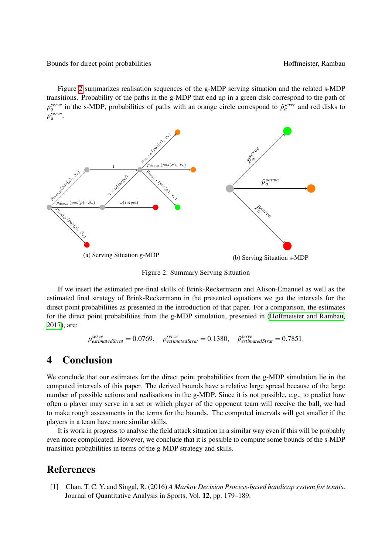Figure [2](#page-8-2) summarizes realisation sequences of the g-MDP serving situation and the related s-MDP transitions. Probability of the paths in the g-MDP that end up in a green disk correspond to the path of  $p_a^{serve}$  in the s-MDP, probabilities of paths with an orange circle correspond to  $\hat{p}_a^{serve}$  and red disks to  $\overline{p}_a^{serve}$ .

<span id="page-8-2"></span>

Figure 2: Summary Serving Situation

If we insert the estimated pre-final skills of Brink-Reckermann and Alison-Emanuel as well as the estimated final strategy of Brink-Reckermann in the presented equations we get the intervals for the direct point probabilities as presented in the introduction of that paper. For a comparison, the estimates for the direct point probabilities from the g-MDP simulation, presented in [\(Hoffmeister and Rambau,](#page-9-8) [2017\)](#page-9-8), are:

$$
p_{estimatedStrat}^{serve} = 0.0769, \quad \bar{p}_{estimatedStrat}^{serve} = 0.1380, \quad \hat{p}_{estimatedStrat}^{serve} = 0.7851.
$$

# <span id="page-8-1"></span>4 Conclusion

We conclude that our estimates for the direct point probabilities from the g-MDP simulation lie in the computed intervals of this paper. The derived bounds have a relative large spread because of the large number of possible actions and realisations in the g-MDP. Since it is not possible, e.g., to predict how often a player may serve in a set or which player of the opponent team will receive the ball, we had to make rough assessments in the terms for the bounds. The computed intervals will get smaller if the players in a team have more similar skills.

It is work in progress to analyse the field attack situation in a similar way even if this will be probably even more complicated. However, we conclude that it is possible to compute some bounds of the s-MDP transition probabilities in terms of the g-MDP strategy and skills.

### References

<span id="page-8-0"></span>[1] Chan, T. C. Y. and Singal, R. (2016) *A Markov Decision Process-based handicap system for tennis*. Journal of Quantitative Analysis in Sports, Vol. 12, pp. 179–189.